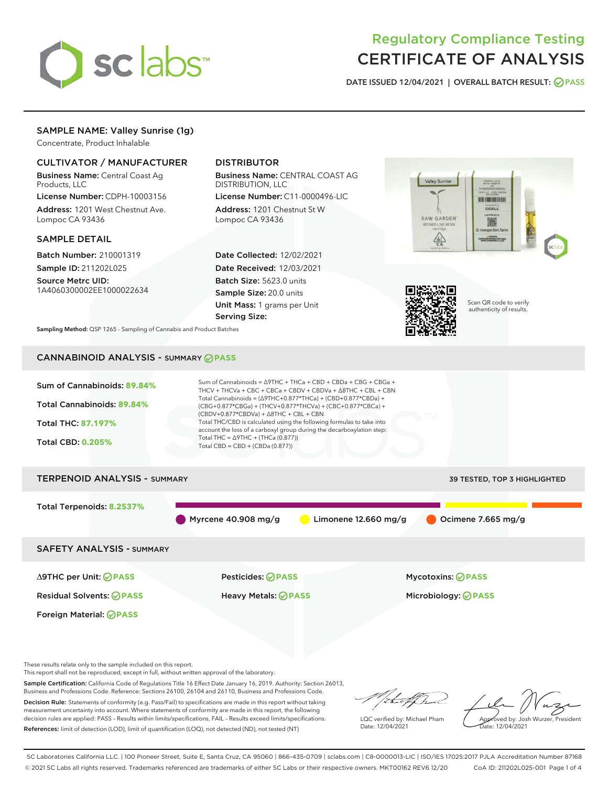

# Regulatory Compliance Testing CERTIFICATE OF ANALYSIS

DATE ISSUED 12/04/2021 | OVERALL BATCH RESULT: @ PASS

# SAMPLE NAME: Valley Sunrise (1g)

Concentrate, Product Inhalable

# CULTIVATOR / MANUFACTURER

Business Name: Central Coast Ag Products, LLC

License Number: CDPH-10003156 Address: 1201 West Chestnut Ave. Lompoc CA 93436

### SAMPLE DETAIL

Batch Number: 210001319 Sample ID: 211202L025

Source Metrc UID: 1A4060300002EE1000022634

# DISTRIBUTOR

Business Name: CENTRAL COAST AG DISTRIBUTION, LLC

License Number: C11-0000496-LIC Address: 1201 Chestnut St W Lompoc CA 93436

Date Collected: 12/02/2021 Date Received: 12/03/2021 Batch Size: 5623.0 units Sample Size: 20.0 units Unit Mass: 1 grams per Unit Serving Size:





Scan QR code to verify authenticity of results.

Sampling Method: QSP 1265 - Sampling of Cannabis and Product Batches

# CANNABINOID ANALYSIS - SUMMARY **PASS**



These results relate only to the sample included on this report.

This report shall not be reproduced, except in full, without written approval of the laboratory.

Sample Certification: California Code of Regulations Title 16 Effect Date January 16, 2019. Authority: Section 26013, Business and Professions Code. Reference: Sections 26100, 26104 and 26110, Business and Professions Code. Decision Rule: Statements of conformity (e.g. Pass/Fail) to specifications are made in this report without taking

measurement uncertainty into account. Where statements of conformity are made in this report, the following decision rules are applied: PASS – Results within limits/specifications, FAIL – Results exceed limits/specifications. References: limit of detection (LOD), limit of quantification (LOQ), not detected (ND), not tested (NT)

that f ha

LQC verified by: Michael Pham Date: 12/04/2021

Approved by: Josh Wurzer, President Date: 12/04/2021

SC Laboratories California LLC. | 100 Pioneer Street, Suite E, Santa Cruz, CA 95060 | 866-435-0709 | sclabs.com | C8-0000013-LIC | ISO/IES 17025:2017 PJLA Accreditation Number 87168 © 2021 SC Labs all rights reserved. Trademarks referenced are trademarks of either SC Labs or their respective owners. MKT00162 REV6 12/20 CoA ID: 211202L025-001 Page 1 of 4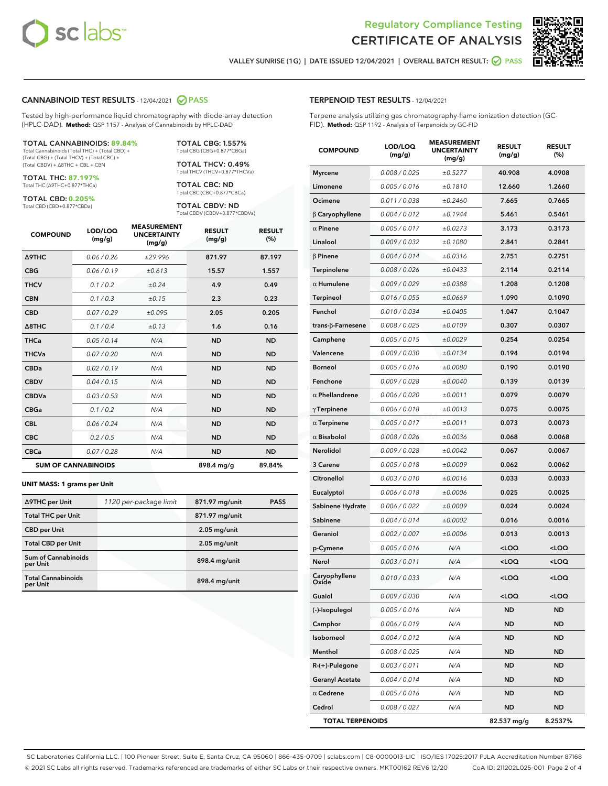



VALLEY SUNRISE (1G) | DATE ISSUED 12/04/2021 | OVERALL BATCH RESULT: @ PASS

#### CANNABINOID TEST RESULTS - 12/04/2021 2 PASS

Tested by high-performance liquid chromatography with diode-array detection (HPLC-DAD). **Method:** QSP 1157 - Analysis of Cannabinoids by HPLC-DAD

#### TOTAL CANNABINOIDS: **89.84%**

Total Cannabinoids (Total THC) + (Total CBD) + (Total CBG) + (Total THCV) + (Total CBC) + (Total CBDV) + ∆8THC + CBL + CBN

TOTAL THC: **87.197%** Total THC (∆9THC+0.877\*THCa)

TOTAL CBD: **0.205%** Total CBD (CBD+0.877\*CBDa)

TOTAL CBG: 1.557% Total CBG (CBG+0.877\*CBGa) TOTAL THCV: 0.49%

Total THCV (THCV+0.877\*THCVa) TOTAL CBC: ND Total CBC (CBC+0.877\*CBCa)

TOTAL CBDV: ND Total CBDV (CBDV+0.877\*CBDVa)

| <b>COMPOUND</b>            | LOD/LOQ<br>(mg/g) | <b>MEASUREMENT</b><br><b>UNCERTAINTY</b><br>(mg/g) | <b>RESULT</b><br>(mg/g) | <b>RESULT</b><br>(%) |
|----------------------------|-------------------|----------------------------------------------------|-------------------------|----------------------|
| <b>A9THC</b>               | 0.06 / 0.26       | ±29.996                                            | 871.97                  | 87.197               |
| <b>CBG</b>                 | 0.06 / 0.19       | ±0.613                                             | 15.57                   | 1.557                |
| <b>THCV</b>                | 0.1/0.2           | ±0.24                                              | 4.9                     | 0.49                 |
| <b>CBN</b>                 | 0.1/0.3           | ±0.15                                              | 2.3                     | 0.23                 |
| <b>CBD</b>                 | 0.07/0.29         | ±0.095                                             | 2.05                    | 0.205                |
| $\triangle$ 8THC           | 0.1/0.4           | ±0.13                                              | 1.6                     | 0.16                 |
| <b>THCa</b>                | 0.05/0.14         | N/A                                                | <b>ND</b>               | <b>ND</b>            |
| <b>THCVa</b>               | 0.07/0.20         | N/A                                                | <b>ND</b>               | <b>ND</b>            |
| <b>CBDa</b>                | 0.02/0.19         | N/A                                                | <b>ND</b>               | <b>ND</b>            |
| <b>CBDV</b>                | 0.04/0.15         | N/A                                                | <b>ND</b>               | <b>ND</b>            |
| <b>CBDVa</b>               | 0.03/0.53         | N/A                                                | <b>ND</b>               | <b>ND</b>            |
| <b>CBGa</b>                | 0.1 / 0.2         | N/A                                                | <b>ND</b>               | <b>ND</b>            |
| <b>CBL</b>                 | 0.06 / 0.24       | N/A                                                | <b>ND</b>               | <b>ND</b>            |
| <b>CBC</b>                 | 0.2 / 0.5         | N/A                                                | <b>ND</b>               | <b>ND</b>            |
| <b>CBCa</b>                | 0.07/0.28         | N/A                                                | <b>ND</b>               | <b>ND</b>            |
| <b>SUM OF CANNABINOIDS</b> |                   |                                                    | 898.4 mg/g              | 89.84%               |

#### **UNIT MASS: 1 grams per Unit**

| ∆9THC per Unit                         | 1120 per-package limit | 871.97 mg/unit | <b>PASS</b> |
|----------------------------------------|------------------------|----------------|-------------|
| <b>Total THC per Unit</b>              |                        | 871.97 mg/unit |             |
| <b>CBD</b> per Unit                    |                        | $2.05$ mg/unit |             |
| <b>Total CBD per Unit</b>              |                        | $2.05$ mg/unit |             |
| <b>Sum of Cannabinoids</b><br>per Unit |                        | 898.4 mg/unit  |             |
| <b>Total Cannabinoids</b><br>per Unit  |                        | 898.4 mg/unit  |             |

# TERPENOID TEST RESULTS - 12/04/2021

Terpene analysis utilizing gas chromatography-flame ionization detection (GC-FID). **Method:** QSP 1192 - Analysis of Terpenoids by GC-FID

| <b>COMPOUND</b>          | LOD/LOQ<br>(mg/g) | <b>MEASUREMENT</b><br><b>UNCERTAINTY</b><br>(mg/g) | <b>RESULT</b><br>(mg/g)                         | <b>RESULT</b><br>(%) |
|--------------------------|-------------------|----------------------------------------------------|-------------------------------------------------|----------------------|
| <b>Myrcene</b>           | 0.008 / 0.025     | ±0.5277                                            | 40.908                                          | 4.0908               |
| Limonene                 | 0.005 / 0.016     | ±0.1810                                            | 12.660                                          | 1.2660               |
| Ocimene                  | 0.011 / 0.038     | ±0.2460                                            | 7.665                                           | 0.7665               |
| $\beta$ Caryophyllene    | 0.004 / 0.012     | ±0.1944                                            | 5.461                                           | 0.5461               |
| $\alpha$ Pinene          | 0.005 / 0.017     | ±0.0273                                            | 3.173                                           | 0.3173               |
| Linalool                 | 0.009 / 0.032     | ±0.1080                                            | 2.841                                           | 0.2841               |
| $\beta$ Pinene           | 0.004 / 0.014     | ±0.0316                                            | 2.751                                           | 0.2751               |
| Terpinolene              | 0.008 / 0.026     | ±0.0433                                            | 2.114                                           | 0.2114               |
| $\alpha$ Humulene        | 0.009/0.029       | ±0.0388                                            | 1.208                                           | 0.1208               |
| <b>Terpineol</b>         | 0.016 / 0.055     | ±0.0669                                            | 1.090                                           | 0.1090               |
| Fenchol                  | 0.010 / 0.034     | ±0.0405                                            | 1.047                                           | 0.1047               |
| $trans-\beta$ -Farnesene | 0.008 / 0.025     | ±0.0109                                            | 0.307                                           | 0.0307               |
| Camphene                 | 0.005 / 0.015     | ±0.0029                                            | 0.254                                           | 0.0254               |
| Valencene                | 0.009 / 0.030     | ±0.0134                                            | 0.194                                           | 0.0194               |
| <b>Borneol</b>           | 0.005 / 0.016     | ±0.0080                                            | 0.190                                           | 0.0190               |
| Fenchone                 | 0.009 / 0.028     | ±0.0040                                            | 0.139                                           | 0.0139               |
| $\alpha$ Phellandrene    | 0.006 / 0.020     | ±0.0011                                            | 0.079                                           | 0.0079               |
| $\gamma$ Terpinene       | 0.006 / 0.018     | ±0.0013                                            | 0.075                                           | 0.0075               |
| $\alpha$ Terpinene       | 0.005 / 0.017     | ±0.0011                                            | 0.073                                           | 0.0073               |
| $\alpha$ Bisabolol       | 0.008 / 0.026     | ±0.0036                                            | 0.068                                           | 0.0068               |
| Nerolidol                | 0.009 / 0.028     | ±0.0042                                            | 0.067                                           | 0.0067               |
| 3 Carene                 | 0.005 / 0.018     | ±0.0009                                            | 0.062                                           | 0.0062               |
| Citronellol              | 0.003 / 0.010     | ±0.0016                                            | 0.033                                           | 0.0033               |
| Eucalyptol               | 0.006 / 0.018     | ±0.0006                                            | 0.025                                           | 0.0025               |
| Sabinene Hydrate         | 0.006 / 0.022     | ±0.0009                                            | 0.024                                           | 0.0024               |
| Sabinene                 | 0.004 / 0.014     | ±0.0002                                            | 0.016                                           | 0.0016               |
| Geraniol                 | 0.002 / 0.007     | ±0.0006                                            | 0.013                                           | 0.0013               |
| p-Cymene                 | 0.005 / 0.016     | N/A                                                | <loq< th=""><th><loq< th=""></loq<></th></loq<> | <loq< th=""></loq<>  |
| Nerol                    | 0.003 / 0.011     | N/A                                                | <loq< th=""><th><loq< th=""></loq<></th></loq<> | <loq< th=""></loq<>  |
| Caryophyllene<br>Oxide   | 0.010 / 0.033     | N/A                                                | $<$ LOQ                                         | $<$ LOQ              |
| Guaiol                   | 0.009 / 0.030     | N/A                                                | 100                                             | $<$ LOQ              |
| (-)-Isopulegol           | 0.005 / 0.016     | N/A                                                | <b>ND</b>                                       | ND                   |
| Camphor                  | 0.006 / 0.019     | N/A                                                | <b>ND</b>                                       | <b>ND</b>            |
| Isoborneol               | 0.004 / 0.012     | N/A                                                | <b>ND</b>                                       | <b>ND</b>            |
| Menthol                  | 0.008 / 0.025     | N/A                                                | ND                                              | ND                   |
| $R-(+)$ -Pulegone        | 0.003 / 0.011     | N/A                                                | ND                                              | ND                   |
| <b>Geranyl Acetate</b>   | 0.004 / 0.014     | N/A                                                | <b>ND</b>                                       | <b>ND</b>            |
| $\alpha$ Cedrene         | 0.005 / 0.016     | N/A                                                | ND                                              | ND                   |
| Cedrol                   | 0.008 / 0.027     | N/A                                                | <b>ND</b>                                       | ND                   |
| <b>TOTAL TERPENOIDS</b>  |                   |                                                    | 82.537 mg/g                                     | 8.2537%              |

SC Laboratories California LLC. | 100 Pioneer Street, Suite E, Santa Cruz, CA 95060 | 866-435-0709 | sclabs.com | C8-0000013-LIC | ISO/IES 17025:2017 PJLA Accreditation Number 87168 © 2021 SC Labs all rights reserved. Trademarks referenced are trademarks of either SC Labs or their respective owners. MKT00162 REV6 12/20 CoA ID: 211202L025-001 Page 2 of 4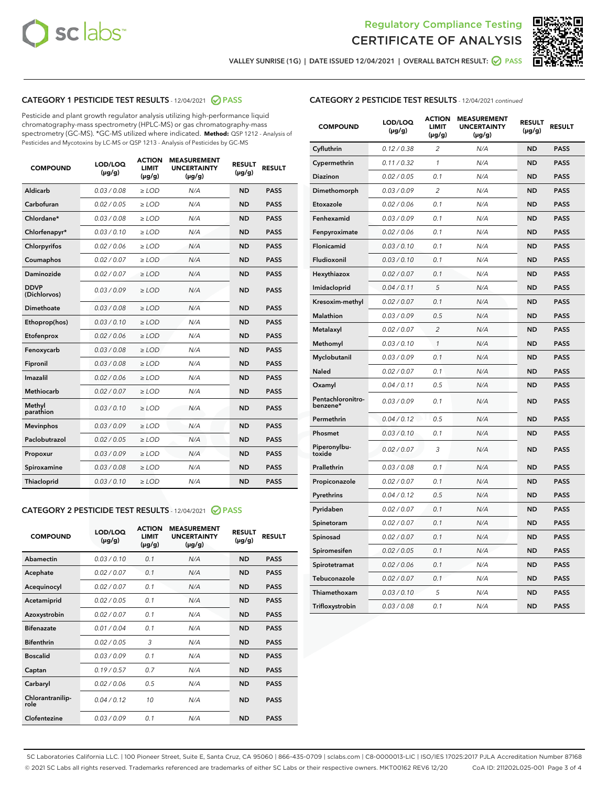



VALLEY SUNRISE (1G) | DATE ISSUED 12/04/2021 | OVERALL BATCH RESULT:  $\bigcirc$  PASS

# CATEGORY 1 PESTICIDE TEST RESULTS - 12/04/2021 2 PASS

Pesticide and plant growth regulator analysis utilizing high-performance liquid chromatography-mass spectrometry (HPLC-MS) or gas chromatography-mass spectrometry (GC-MS). \*GC-MS utilized where indicated. **Method:** QSP 1212 - Analysis of Pesticides and Mycotoxins by LC-MS or QSP 1213 - Analysis of Pesticides by GC-MS

| <b>COMPOUND</b>             | LOD/LOQ<br>$(\mu g/g)$ | <b>ACTION</b><br><b>LIMIT</b><br>$(\mu g/g)$ | <b>MEASUREMENT</b><br><b>UNCERTAINTY</b><br>$(\mu g/g)$ | <b>RESULT</b><br>$(\mu g/g)$ | <b>RESULT</b> |
|-----------------------------|------------------------|----------------------------------------------|---------------------------------------------------------|------------------------------|---------------|
| Aldicarb                    | 0.03 / 0.08            | $\ge$ LOD                                    | N/A                                                     | <b>ND</b>                    | <b>PASS</b>   |
| Carbofuran                  | 0.02/0.05              | $>$ LOD                                      | N/A                                                     | <b>ND</b>                    | <b>PASS</b>   |
| Chlordane*                  | 0.03 / 0.08            | $\geq$ LOD                                   | N/A                                                     | <b>ND</b>                    | <b>PASS</b>   |
| Chlorfenapyr*               | 0.03/0.10              | $\ge$ LOD                                    | N/A                                                     | <b>ND</b>                    | <b>PASS</b>   |
| Chlorpyrifos                | 0.02 / 0.06            | $\ge$ LOD                                    | N/A                                                     | <b>ND</b>                    | <b>PASS</b>   |
| Coumaphos                   | 0.02 / 0.07            | $>$ LOD                                      | N/A                                                     | <b>ND</b>                    | <b>PASS</b>   |
| Daminozide                  | 0.02/0.07              | $\ge$ LOD                                    | N/A                                                     | <b>ND</b>                    | <b>PASS</b>   |
| <b>DDVP</b><br>(Dichlorvos) | 0.03/0.09              | $\ge$ LOD                                    | N/A                                                     | <b>ND</b>                    | <b>PASS</b>   |
| <b>Dimethoate</b>           | 0.03/0.08              | $\ge$ LOD                                    | N/A                                                     | <b>ND</b>                    | <b>PASS</b>   |
| Ethoprop(hos)               | 0.03/0.10              | $\ge$ LOD                                    | N/A                                                     | <b>ND</b>                    | <b>PASS</b>   |
| Etofenprox                  | 0.02/0.06              | $>$ LOD                                      | N/A                                                     | <b>ND</b>                    | <b>PASS</b>   |
| Fenoxycarb                  | 0.03 / 0.08            | $\ge$ LOD                                    | N/A                                                     | <b>ND</b>                    | <b>PASS</b>   |
| Fipronil                    | 0.03 / 0.08            | $>$ LOD                                      | N/A                                                     | <b>ND</b>                    | <b>PASS</b>   |
| Imazalil                    | 0.02 / 0.06            | $\ge$ LOD                                    | N/A                                                     | <b>ND</b>                    | <b>PASS</b>   |
| Methiocarb                  | 0.02 / 0.07            | $\ge$ LOD                                    | N/A                                                     | <b>ND</b>                    | <b>PASS</b>   |
| Methyl<br>parathion         | 0.03/0.10              | $\ge$ LOD                                    | N/A                                                     | <b>ND</b>                    | <b>PASS</b>   |
| <b>Mevinphos</b>            | 0.03/0.09              | $>$ LOD                                      | N/A                                                     | <b>ND</b>                    | <b>PASS</b>   |
| Paclobutrazol               | 0.02 / 0.05            | $\ge$ LOD                                    | N/A                                                     | <b>ND</b>                    | <b>PASS</b>   |
| Propoxur                    | 0.03 / 0.09            | $\ge$ LOD                                    | N/A                                                     | <b>ND</b>                    | <b>PASS</b>   |
| Spiroxamine                 | 0.03 / 0.08            | $\ge$ LOD                                    | N/A                                                     | <b>ND</b>                    | <b>PASS</b>   |
| <b>Thiacloprid</b>          | 0.03/0.10              | $\ge$ LOD                                    | N/A                                                     | <b>ND</b>                    | <b>PASS</b>   |

# CATEGORY 2 PESTICIDE TEST RESULTS - 12/04/2021 @ PASS

| <b>COMPOUND</b>          | LOD/LOO<br>$(\mu g/g)$ | <b>ACTION</b><br>LIMIT<br>$(\mu g/g)$ | <b>MEASUREMENT</b><br><b>UNCERTAINTY</b><br>$(\mu g/g)$ | <b>RESULT</b><br>$(\mu g/g)$ | <b>RESULT</b> |
|--------------------------|------------------------|---------------------------------------|---------------------------------------------------------|------------------------------|---------------|
| Abamectin                | 0.03/0.10              | 0.1                                   | N/A                                                     | <b>ND</b>                    | <b>PASS</b>   |
| Acephate                 | 0.02/0.07              | 0.1                                   | N/A                                                     | <b>ND</b>                    | <b>PASS</b>   |
| Acequinocyl              | 0.02/0.07              | 0.1                                   | N/A                                                     | <b>ND</b>                    | <b>PASS</b>   |
| Acetamiprid              | 0.02/0.05              | 0.1                                   | N/A                                                     | <b>ND</b>                    | <b>PASS</b>   |
| Azoxystrobin             | 0.02/0.07              | 0.1                                   | N/A                                                     | <b>ND</b>                    | <b>PASS</b>   |
| <b>Bifenazate</b>        | 0.01/0.04              | 0.1                                   | N/A                                                     | <b>ND</b>                    | <b>PASS</b>   |
| <b>Bifenthrin</b>        | 0.02 / 0.05            | 3                                     | N/A                                                     | <b>ND</b>                    | <b>PASS</b>   |
| <b>Boscalid</b>          | 0.03/0.09              | 0.1                                   | N/A                                                     | <b>ND</b>                    | <b>PASS</b>   |
| Captan                   | 0.19/0.57              | 0.7                                   | N/A                                                     | <b>ND</b>                    | <b>PASS</b>   |
| Carbaryl                 | 0.02/0.06              | 0.5                                   | N/A                                                     | <b>ND</b>                    | <b>PASS</b>   |
| Chlorantranilip-<br>role | 0.04/0.12              | 10                                    | N/A                                                     | <b>ND</b>                    | <b>PASS</b>   |
| Clofentezine             | 0.03/0.09              | 0.1                                   | N/A                                                     | <b>ND</b>                    | <b>PASS</b>   |

# CATEGORY 2 PESTICIDE TEST RESULTS - 12/04/2021 continued

| <b>COMPOUND</b>               | LOD/LOQ<br>(µg/g) | <b>ACTION</b><br><b>LIMIT</b><br>$(\mu g/g)$ | <b>MEASUREMENT</b><br><b>UNCERTAINTY</b><br>$(\mu g/g)$ | <b>RESULT</b><br>(µg/g) | <b>RESULT</b> |
|-------------------------------|-------------------|----------------------------------------------|---------------------------------------------------------|-------------------------|---------------|
| Cyfluthrin                    | 0.12 / 0.38       | $\overline{c}$                               | N/A                                                     | <b>ND</b>               | <b>PASS</b>   |
| Cypermethrin                  | 0.11 / 0.32       | 1                                            | N/A                                                     | ND                      | <b>PASS</b>   |
| Diazinon                      | 0.02 / 0.05       | 0.1                                          | N/A                                                     | ND                      | <b>PASS</b>   |
| Dimethomorph                  | 0.03 / 0.09       | 2                                            | N/A                                                     | ND                      | <b>PASS</b>   |
| Etoxazole                     | 0.02 / 0.06       | 0.1                                          | N/A                                                     | <b>ND</b>               | <b>PASS</b>   |
| Fenhexamid                    | 0.03 / 0.09       | 0.1                                          | N/A                                                     | <b>ND</b>               | <b>PASS</b>   |
| Fenpyroximate                 | 0.02 / 0.06       | 0.1                                          | N/A                                                     | ND                      | <b>PASS</b>   |
| Flonicamid                    | 0.03 / 0.10       | 0.1                                          | N/A                                                     | ND                      | <b>PASS</b>   |
| Fludioxonil                   | 0.03 / 0.10       | 0.1                                          | N/A                                                     | <b>ND</b>               | <b>PASS</b>   |
| Hexythiazox                   | 0.02 / 0.07       | 0.1                                          | N/A                                                     | ND                      | <b>PASS</b>   |
| Imidacloprid                  | 0.04 / 0.11       | 5                                            | N/A                                                     | ND                      | <b>PASS</b>   |
| Kresoxim-methyl               | 0.02 / 0.07       | 0.1                                          | N/A                                                     | <b>ND</b>               | <b>PASS</b>   |
| <b>Malathion</b>              | 0.03 / 0.09       | 0.5                                          | N/A                                                     | ND                      | <b>PASS</b>   |
| Metalaxyl                     | 0.02 / 0.07       | $\overline{c}$                               | N/A                                                     | ND                      | <b>PASS</b>   |
| Methomyl                      | 0.03 / 0.10       | 1                                            | N/A                                                     | <b>ND</b>               | <b>PASS</b>   |
| Myclobutanil                  | 0.03 / 0.09       | 0.1                                          | N/A                                                     | ND                      | <b>PASS</b>   |
| Naled                         | 0.02 / 0.07       | 0.1                                          | N/A                                                     | ND                      | <b>PASS</b>   |
| Oxamyl                        | 0.04 / 0.11       | 0.5                                          | N/A                                                     | ND                      | <b>PASS</b>   |
| Pentachloronitro-<br>benzene* | 0.03 / 0.09       | 0.1                                          | N/A                                                     | ND                      | <b>PASS</b>   |
| Permethrin                    | 0.04 / 0.12       | 0.5                                          | N/A                                                     | <b>ND</b>               | <b>PASS</b>   |
| Phosmet                       | 0.03 / 0.10       | 0.1                                          | N/A                                                     | <b>ND</b>               | <b>PASS</b>   |
| Piperonylbu-<br>toxide        | 0.02 / 0.07       | 3                                            | N/A                                                     | ND                      | <b>PASS</b>   |
| Prallethrin                   | 0.03 / 0.08       | 0.1                                          | N/A                                                     | <b>ND</b>               | <b>PASS</b>   |
| Propiconazole                 | 0.02 / 0.07       | 0.1                                          | N/A                                                     | ND                      | <b>PASS</b>   |
| Pyrethrins                    | 0.04 / 0.12       | 0.5                                          | N/A                                                     | ND                      | <b>PASS</b>   |
| Pyridaben                     | 0.02 / 0.07       | 0.1                                          | N/A                                                     | ND                      | <b>PASS</b>   |
| Spinetoram                    | 0.02 / 0.07       | 0.1                                          | N/A                                                     | ND                      | <b>PASS</b>   |
| Spinosad                      | 0.02 / 0.07       | 0.1                                          | N/A                                                     | ND                      | <b>PASS</b>   |
| Spiromesifen                  | 0.02 / 0.05       | 0.1                                          | N/A                                                     | <b>ND</b>               | <b>PASS</b>   |
| Spirotetramat                 | 0.02 / 0.06       | 0.1                                          | N/A                                                     | ND                      | <b>PASS</b>   |
| Tebuconazole                  | 0.02 / 0.07       | 0.1                                          | N/A                                                     | ND                      | <b>PASS</b>   |
| Thiamethoxam                  | 0.03 / 0.10       | 5                                            | N/A                                                     | <b>ND</b>               | <b>PASS</b>   |
| Trifloxystrobin               | 0.03 / 0.08       | 0.1                                          | N/A                                                     | <b>ND</b>               | <b>PASS</b>   |

SC Laboratories California LLC. | 100 Pioneer Street, Suite E, Santa Cruz, CA 95060 | 866-435-0709 | sclabs.com | C8-0000013-LIC | ISO/IES 17025:2017 PJLA Accreditation Number 87168 © 2021 SC Labs all rights reserved. Trademarks referenced are trademarks of either SC Labs or their respective owners. MKT00162 REV6 12/20 CoA ID: 211202L025-001 Page 3 of 4